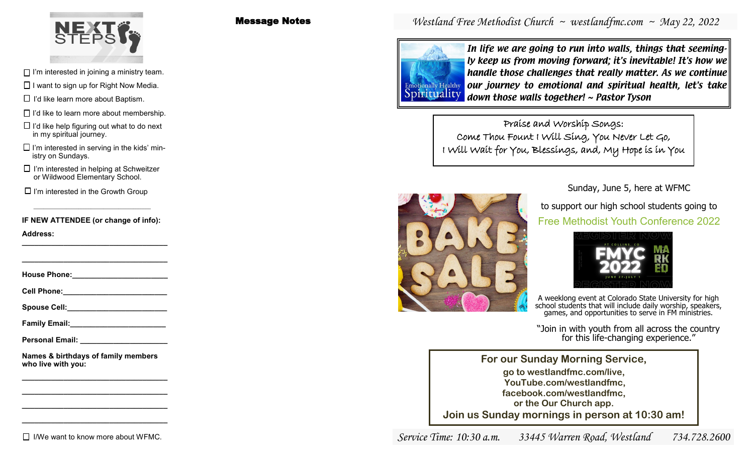

- $\Box$  I'm interested in joining a ministry team.
- $\Box$  I want to sign up for Right Now Media.
- $\Box$  I'd like learn more about Baptism.
- $\Box$  I'd like to learn more about membership.
- $\Box$  I'd like help figuring out what to do next in my spiritual journey.
- $\Box$  I'm interested in serving in the kids' ministry on Sundays.
- $\Box$  I'm interested in helping at Schweitzer or Wildwood Elementary School.

 $\Box$  I'm interested in the Growth Group

**IF NEW ATTENDEE (or change of info):**

**Address: \_\_\_\_\_\_\_\_\_\_\_\_\_\_\_\_\_\_\_\_\_\_\_\_\_\_\_\_\_\_\_\_\_\_\_**

**House Phone:\_\_\_\_\_\_\_\_\_\_\_\_\_\_\_\_\_\_\_\_\_\_\_**

**\_\_\_\_\_\_\_\_\_\_\_\_\_\_\_\_\_\_\_\_\_\_\_\_\_\_\_\_\_\_\_\_\_\_\_**

**Cell Phone:\_\_\_\_\_\_\_\_\_\_\_\_\_\_\_\_\_\_\_\_\_\_\_\_\_**

Spouse Cell:

**Family Email:\_\_\_\_\_\_\_\_\_\_\_\_\_\_\_\_\_\_\_\_\_\_\_**

**Personal Email: \_\_\_\_\_\_\_\_\_\_\_\_\_\_\_\_\_\_\_\_\_**

**Names & birthdays of family members who live with you:**

**\_\_\_\_\_\_\_\_\_\_\_\_\_\_\_\_\_\_\_\_\_\_\_\_\_\_\_\_\_\_\_\_\_\_\_ \_\_\_\_\_\_\_\_\_\_\_\_\_\_\_\_\_\_\_\_\_\_\_\_\_\_\_\_\_\_\_\_\_\_\_ \_\_\_\_\_\_\_\_\_\_\_\_\_\_\_\_\_\_\_\_\_\_\_\_\_\_\_\_\_\_\_\_\_\_\_ \_\_\_\_\_\_\_\_\_\_\_\_\_\_\_\_\_\_\_\_\_\_\_\_\_\_\_\_\_\_\_\_\_\_\_**

 $\Box$  I/We want to know more about WFMC.

### Message Notes

*Westland Free Methodist Church ~ westlandfmc.com ~ May 22, 2022*



In life we are going to run into walls, things that seemingly keep us from moving forward; it's inevitable! It's how we handle those challenges that really matter. As we continue our journey to emotional and spiritual health, let's take down those walls together! ~ Pastor Tyson

Praise and Worship Songs: Come Thou Fount I Will Sing, You Never Let Go, I Will Wait for You, Blessings, and, My Hope is in You



Sunday, June 5, here at WFMC

to support our high school students going to Free Methodist Youth Conference 2022



A weeklong event at Colorado State University for high school students that will include daily worship, speakers, games, and opportunities to serve in FM ministries.

"Join in with youth from all across the country for this life-changing experience."

**For our Sunday Morning Service, go to westlandfmc.com/live, YouTube.com/westlandfmc, facebook.com/westlandfmc, or the Our Church app. Join us Sunday mornings in person at 10:30 am!**